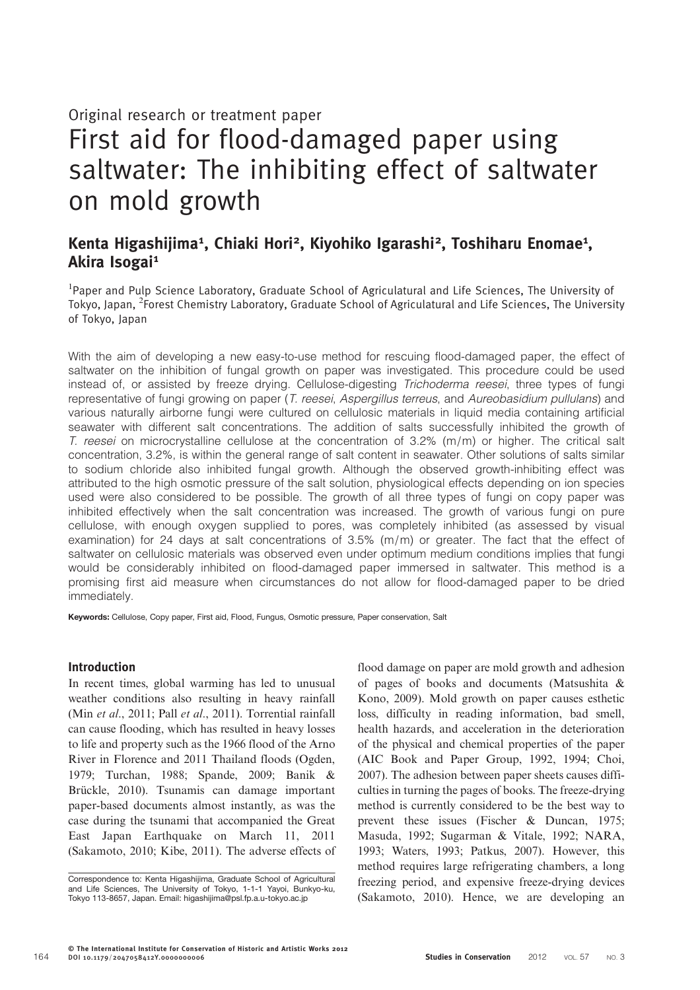# Original research or treatment paper

# First aid for flood-damaged paper using saltwater: The inhibiting effect of saltwater on mold growth

# Kenta Higashijima<sup>1</sup>, Chiaki Hori<sup>2</sup>, Kiyohiko Igarashi<sup>2</sup>, Toshiharu Enomae<sup>1</sup>, Akira Isogai<sup>1</sup>

<sup>1</sup>Paper and Pulp Science Laboratory, Graduate School of Agriculatural and Life Sciences, The University of Tokyo, Japan, <sup>2</sup>Forest Chemistry Laboratory, Graduate School of Agriculatural and Life Sciences, The University of Tokyo, Japan

With the aim of developing a new easy-to-use method for rescuing flood-damaged paper, the effect of saltwater on the inhibition of fungal growth on paper was investigated. This procedure could be used instead of, or assisted by freeze drying. Cellulose-digesting Trichoderma reesei, three types of fungi representative of fungi growing on paper (T. reesei, Aspergillus terreus, and Aureobasidium pullulans) and various naturally airborne fungi were cultured on cellulosic materials in liquid media containing artificial seawater with different salt concentrations. The addition of salts successfully inhibited the growth of T. reesei on microcrystalline cellulose at the concentration of 3.2% (m/m) or higher. The critical salt concentration, 3.2%, is within the general range of salt content in seawater. Other solutions of salts similar to sodium chloride also inhibited fungal growth. Although the observed growth-inhibiting effect was attributed to the high osmotic pressure of the salt solution, physiological effects depending on ion species used were also considered to be possible. The growth of all three types of fungi on copy paper was inhibited effectively when the salt concentration was increased. The growth of various fungi on pure cellulose, with enough oxygen supplied to pores, was completely inhibited (as assessed by visual examination) for 24 days at salt concentrations of 3.5% (m/m) or greater. The fact that the effect of saltwater on cellulosic materials was observed even under optimum medium conditions implies that fungi would be considerably inhibited on flood-damaged paper immersed in saltwater. This method is a promising first aid measure when circumstances do not allow for flood-damaged paper to be dried immediately.

Keywords: Cellulose, Copy paper, First aid, Flood, Fungus, Osmotic pressure, Paper conservation, Salt

## Introduction

In recent times, global warming has led to unusual weather conditions also resulting in heavy rainfall (Min *et al*., 2011; Pall *et al*., 2011). Torrential rainfall can cause flooding, which has resulted in heavy losses to life and property such as the 1966 flood of the Arno River in Florence and 2011 Thailand floods (Ogden, 1979; Turchan, 1988; Spande, 2009; Banik & Brückle, 2010). Tsunamis can damage important paper-based documents almost instantly, as was the case during the tsunami that accompanied the Great East Japan Earthquake on March 11, 2011 (Sakamoto, 2010; Kibe, 2011). The adverse effects of flood damage on paper are mold growth and adhesion of pages of books and documents (Matsushita & Kono, 2009). Mold growth on paper causes esthetic loss, difficulty in reading information, bad smell, health hazards, and acceleration in the deterioration of the physical and chemical properties of the paper (AIC Book and Paper Group, 1992, 1994; Choi, 2007). The adhesion between paper sheets causes difficulties in turning the pages of books. The freeze-drying method is currently considered to be the best way to prevent these issues (Fischer & Duncan, 1975; Masuda, 1992; Sugarman & Vitale, 1992; NARA, 1993; Waters, 1993; Patkus, 2007). However, this method requires large refrigerating chambers, a long freezing period, and expensive freeze-drying devices (Sakamoto, 2010). Hence, we are developing an

Correspondence to: Kenta Higashijima, Graduate School of Agricultural and Life Sciences, The University of Tokyo, 1-1-1 Yayoi, Bunkyo-ku, Tokyo 113-8657, Japan. Email: higashijima@psl.fp.a.u-tokyo.ac.jp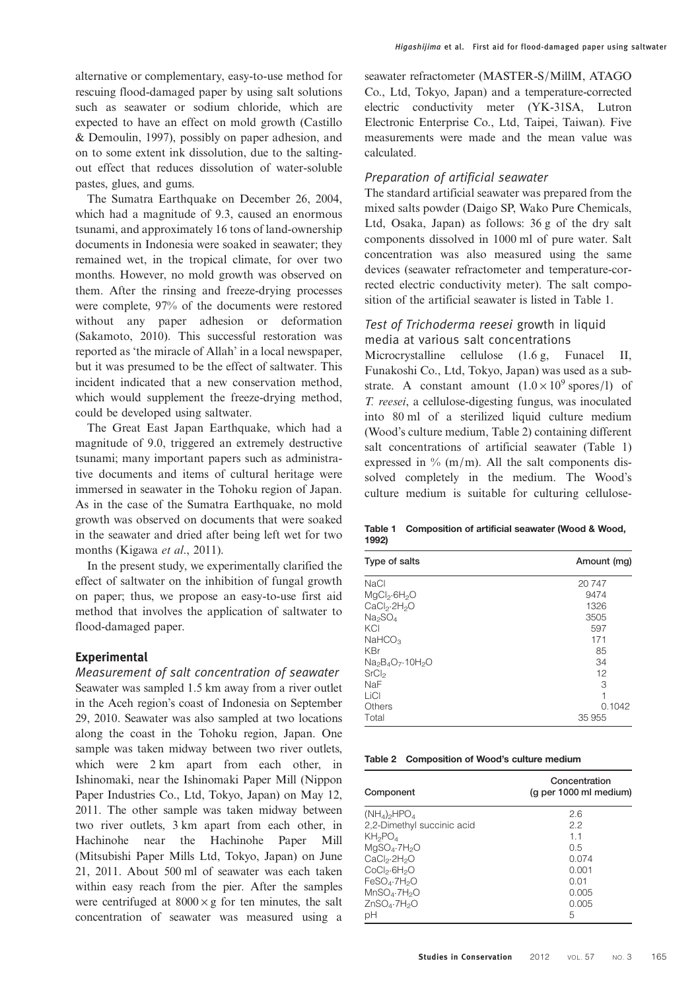alternative or complementary, easy-to-use method for rescuing flood-damaged paper by using salt solutions such as seawater or sodium chloride, which are expected to have an effect on mold growth (Castillo & Demoulin, 1997), possibly on paper adhesion, and on to some extent ink dissolution, due to the saltingout effect that reduces dissolution of water-soluble pastes, glues, and gums.

The Sumatra Earthquake on December 26, 2004, which had a magnitude of 9.3, caused an enormous tsunami, and approximately 16 tons of land-ownership documents in Indonesia were soaked in seawater; they remained wet, in the tropical climate, for over two months. However, no mold growth was observed on them. After the rinsing and freeze-drying processes were complete, 97% of the documents were restored without any paper adhesion or deformation (Sakamoto, 2010). This successful restoration was reported as 'the miracle of Allah' in a local newspaper, but it was presumed to be the effect of saltwater. This incident indicated that a new conservation method, which would supplement the freeze-drying method, could be developed using saltwater.

The Great East Japan Earthquake, which had a magnitude of 9.0, triggered an extremely destructive tsunami; many important papers such as administrative documents and items of cultural heritage were immersed in seawater in the Tohoku region of Japan. As in the case of the Sumatra Earthquake, no mold growth was observed on documents that were soaked in the seawater and dried after being left wet for two months (Kigawa *et al*., 2011).

In the present study, we experimentally clarified the effect of saltwater on the inhibition of fungal growth on paper; thus, we propose an easy-to-use first aid method that involves the application of saltwater to flood-damaged paper.

#### **Experimental**

Measurement of salt concentration of seawater Seawater was sampled 1.5 km away from a river outlet in the Aceh region's coast of Indonesia on September 29, 2010. Seawater was also sampled at two locations along the coast in the Tohoku region, Japan. One sample was taken midway between two river outlets, which were 2 km apart from each other, in Ishinomaki, near the Ishinomaki Paper Mill (Nippon Paper Industries Co., Ltd, Tokyo, Japan) on May 12, 2011. The other sample was taken midway between two river outlets, 3 km apart from each other, in Hachinohe near the Hachinohe Paper Mill (Mitsubishi Paper Mills Ltd, Tokyo, Japan) on June 21, 2011. About 500 ml of seawater was each taken within easy reach from the pier. After the samples were centrifuged at  $8000 \times g$  for ten minutes, the salt concentration of seawater was measured using a

seawater refractometer (MASTER-S/MillM, ATAGO Co., Ltd, Tokyo, Japan) and a temperature-corrected electric conductivity meter (YK-31SA, Lutron Electronic Enterprise Co., Ltd, Taipei, Taiwan). Five measurements were made and the mean value was calculated.

# Preparation of artificial seawater

The standard artificial seawater was prepared from the mixed salts powder (Daigo SP, Wako Pure Chemicals, Ltd, Osaka, Japan) as follows: 36 g of the dry salt components dissolved in 1000 ml of pure water. Salt concentration was also measured using the same devices (seawater refractometer and temperature-corrected electric conductivity meter). The salt composition of the artificial seawater is listed in Table 1.

# Test of Trichoderma reesei growth in liquid media at various salt concentrations

Microcrystalline cellulose  $(1.6 \text{ g}, \text{Funacel II})$ Funakoshi Co., Ltd, Tokyo, Japan) was used as a substrate. A constant amount  $(1.0 \times 10^9 \text{ spores/l})$  of *T. reesei*, a cellulose-digesting fungus, was inoculated into 80 ml of a sterilized liquid culture medium (Wood's culture medium, Table 2) containing different salt concentrations of artificial seawater (Table 1) expressed in  $\%$  (m/m). All the salt components dissolved completely in the medium. The Wood's culture medium is suitable for culturing cellulose-

Table 1 Composition of artificial seawater (Wood & Wood, 1992)

| Type of salts                        | Amount (mg) |
|--------------------------------------|-------------|
| NaCl                                 | 20747       |
| $MgCl_2.6H_2O$                       | 9474        |
| CaCl <sub>2</sub> ·2H <sub>2</sub> O | 1326        |
| Na <sub>2</sub> SO <sub>4</sub>      | 3505        |
| KCI                                  | 597         |
| NAHCO <sub>3</sub>                   | 171         |
| <b>KBr</b>                           | 85          |
| $Na2B4O7·10H2O$                      | 34          |
| SrCl <sub>2</sub>                    | 12          |
| NaF                                  | 3           |
| LiCl                                 | 1           |
| <b>Others</b>                        | 0.1042      |
| Total                                | 35 955      |

Table 2 Composition of Wood's culture medium

| Component                            | Concentration<br>(q per 1000 ml medium) |
|--------------------------------------|-----------------------------------------|
| $(NH_4)_{2}HPO_4$                    | 2.6                                     |
| 2,2-Dimethyl succinic acid           | 22                                      |
| KH <sub>2</sub> PO <sub>4</sub>      | 11                                      |
| MqSO <sub>4</sub> ·7H <sub>2</sub> O | 0.5                                     |
| CaCl <sub>2</sub> ·2H <sub>2</sub> O | 0.074                                   |
| CoCl <sub>2</sub> ·6H <sub>2</sub> O | 0.001                                   |
| FeSO <sub>4</sub> ·7H <sub>2</sub> O | 0.01                                    |
| MnSO <sub>A</sub> ·7H <sub>2</sub> O | 0.005                                   |
| ZnSO <sub>A</sub> ·7H <sub>2</sub> O | 0.005                                   |
| рH                                   | 5                                       |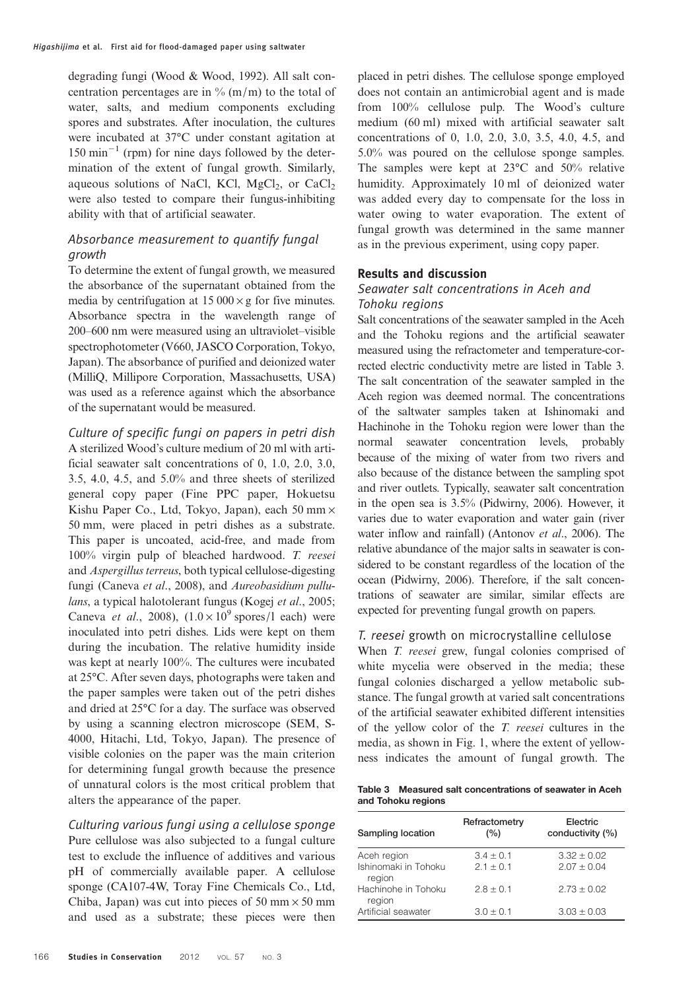degrading fungi (Wood & Wood, 1992). All salt concentration percentages are in  $\%$  (m/m) to the total of water, salts, and medium components excluding spores and substrates. After inoculation, the cultures were incubated at 37°C under constant agitation at 150 min−<sup>1</sup> (rpm) for nine days followed by the determination of the extent of fungal growth. Similarly, aqueous solutions of NaCl, KCl,  $MgCl<sub>2</sub>$ , or  $CaCl<sub>2</sub>$ were also tested to compare their fungus-inhibiting ability with that of artificial seawater.

# Absorbance measurement to quantify fungal growth

To determine the extent of fungal growth, we measured the absorbance of the supernatant obtained from the media by centrifugation at  $15000 \times g$  for five minutes. Absorbance spectra in the wavelength range of 200–600 nm were measured using an ultraviolet–visible spectrophotometer (V660, JASCO Corporation, Tokyo, Japan). The absorbance of purified and deionized water (MilliQ, Millipore Corporation, Massachusetts, USA) was used as a reference against which the absorbance of the supernatant would be measured.

Culture of specific fungi on papers in petri dish A sterilized Wood's culture medium of 20 ml with artificial seawater salt concentrations of 0, 1.0, 2.0, 3.0, 3.5, 4.0, 4.5, and 5.0% and three sheets of sterilized general copy paper (Fine PPC paper, Hokuetsu Kishu Paper Co., Ltd, Tokyo, Japan), each 50 mm  $\times$ 50 mm, were placed in petri dishes as a substrate. This paper is uncoated, acid-free, and made from 100% virgin pulp of bleached hardwood. *T. reesei* and *Aspergillus terreus*, both typical cellulose-digesting fungi (Caneva *et al*., 2008), and *Aureobasidium pullulans*, a typical halotolerant fungus (Kogej *et al*., 2005; Caneva *et al.*, 2008),  $(1.0 \times 10^9 \text{ spores}/1 \text{ each})$  were inoculated into petri dishes. Lids were kept on them during the incubation. The relative humidity inside was kept at nearly 100%. The cultures were incubated at 25°C. After seven days, photographs were taken and the paper samples were taken out of the petri dishes and dried at 25°C for a day. The surface was observed by using a scanning electron microscope (SEM, S-4000, Hitachi, Ltd, Tokyo, Japan). The presence of visible colonies on the paper was the main criterion for determining fungal growth because the presence of unnatural colors is the most critical problem that alters the appearance of the paper.

Culturing various fungi using a cellulose sponge Pure cellulose was also subjected to a fungal culture test to exclude the influence of additives and various pH of commercially available paper. A cellulose sponge (CA107-4W, Toray Fine Chemicals Co., Ltd, Chiba, Japan) was cut into pieces of 50 mm  $\times$  50 mm and used as a substrate; these pieces were then

placed in petri dishes. The cellulose sponge employed does not contain an antimicrobial agent and is made from 100% cellulose pulp. The Wood's culture medium (60 ml) mixed with artificial seawater salt concentrations of 0, 1.0, 2.0, 3.0, 3.5, 4.0, 4.5, and 5.0% was poured on the cellulose sponge samples. The samples were kept at 23°C and 50% relative humidity. Approximately 10 ml of deionized water was added every day to compensate for the loss in water owing to water evaporation. The extent of fungal growth was determined in the same manner as in the previous experiment, using copy paper.

#### Results and discussion

## Seawater salt concentrations in Aceh and Tohoku regions

Salt concentrations of the seawater sampled in the Aceh and the Tohoku regions and the artificial seawater measured using the refractometer and temperature-corrected electric conductivity metre are listed in Table 3. The salt concentration of the seawater sampled in the Aceh region was deemed normal. The concentrations of the saltwater samples taken at Ishinomaki and Hachinohe in the Tohoku region were lower than the normal seawater concentration levels, probably because of the mixing of water from two rivers and also because of the distance between the sampling spot and river outlets. Typically, seawater salt concentration in the open sea is 3.5% (Pidwirny, 2006). However, it varies due to water evaporation and water gain (river water inflow and rainfall) (Antonov *et al*., 2006). The relative abundance of the major salts in seawater is considered to be constant regardless of the location of the ocean (Pidwirny, 2006). Therefore, if the salt concentrations of seawater are similar, similar effects are expected for preventing fungal growth on papers.

#### T. reesei growth on microcrystalline cellulose

When *T. reesei* grew, fungal colonies comprised of white mycelia were observed in the media; these fungal colonies discharged a yellow metabolic substance. The fungal growth at varied salt concentrations of the artificial seawater exhibited different intensities of the yellow color of the *T. reesei* cultures in the media, as shown in Fig. 1, where the extent of yellowness indicates the amount of fungal growth. The

Table 3 Measured salt concentrations of seawater in Aceh and Tohoku regions

| Sampling location                             | Refractometry<br>(%)       | Electric<br>conductivity (%)     |
|-----------------------------------------------|----------------------------|----------------------------------|
| Aceh region<br>Ishinomaki in Tohoku<br>region | $3.4 + 0.1$<br>$2.1 + 0.1$ | $3.32 \pm 0.02$<br>$2.07 + 0.04$ |
| Hachinohe in Tohoku<br>region                 | $2.8 + 0.1$                | $2.73 + 0.02$                    |
| Artificial seawater                           | $3.0 + 0.1$                | $3.03 + 0.03$                    |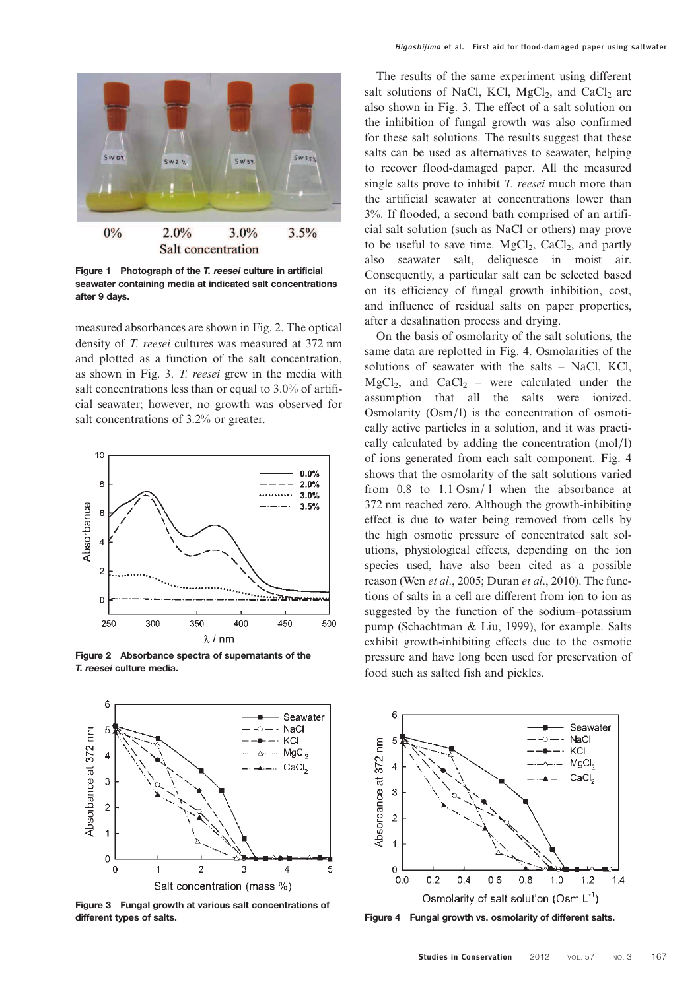

Figure 1 Photograph of the T. reesei culture in artificial seawater containing media at indicated salt concentrations after 9 days.

measured absorbances are shown in Fig. 2. The optical density of *T. reesei* cultures was measured at 372 nm and plotted as a function of the salt concentration, as shown in Fig. 3. *T. reesei* grew in the media with salt concentrations less than or equal to 3.0% of artificial seawater; however, no growth was observed for salt concentrations of 3.2% or greater.



Figure 2 Absorbance spectra of supernatants of the T. reesei culture media.



Figure 3 Fungal growth at various salt concentrations of different types of salts. The same same same same Figure 4 Fungal growth vs. osmolarity of different salts.

The results of the same experiment using different salt solutions of NaCl, KCl,  $MgCl<sub>2</sub>$ , and CaCl<sub>2</sub> are also shown in Fig. 3. The effect of a salt solution on the inhibition of fungal growth was also confirmed for these salt solutions. The results suggest that these salts can be used as alternatives to seawater, helping to recover flood-damaged paper. All the measured single salts prove to inhibit *T. reesei* much more than the artificial seawater at concentrations lower than 3%. If flooded, a second bath comprised of an artificial salt solution (such as NaCl or others) may prove to be useful to save time.  $MgCl<sub>2</sub>$ ,  $CaCl<sub>2</sub>$ , and partly also seawater salt, deliquesce in moist air. Consequently, a particular salt can be selected based on its efficiency of fungal growth inhibition, cost, and influence of residual salts on paper properties, after a desalination process and drying.

On the basis of osmolarity of the salt solutions, the same data are replotted in Fig. 4. Osmolarities of the solutions of seawater with the salts – NaCl, KCl,  $MgCl<sub>2</sub>$ , and  $CaCl<sub>2</sub>$  – were calculated under the assumption that all the salts were ionized. Osmolarity (Osm/l) is the concentration of osmotically active particles in a solution, and it was practically calculated by adding the concentration (mol/l) of ions generated from each salt component. Fig. 4 shows that the osmolarity of the salt solutions varied from 0.8 to 1.1 Osm/ l when the absorbance at 372 nm reached zero. Although the growth-inhibiting effect is due to water being removed from cells by the high osmotic pressure of concentrated salt solutions, physiological effects, depending on the ion species used, have also been cited as a possible reason (Wen *et al*., 2005; Duran *et al*., 2010). The functions of salts in a cell are different from ion to ion as suggested by the function of the sodium–potassium pump (Schachtman & Liu, 1999), for example. Salts exhibit growth-inhibiting effects due to the osmotic pressure and have long been used for preservation of food such as salted fish and pickles.

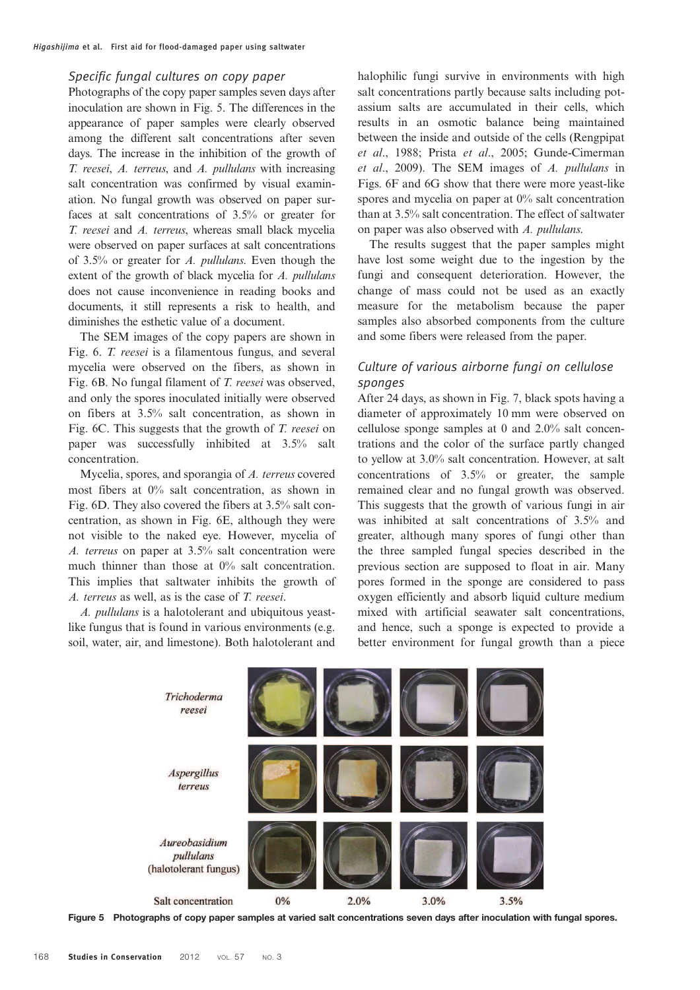### Specific fungal cultures on copy paper

Photographs of the copy paper samples seven days after inoculation are shown in Fig. 5. The differences in the appearance of paper samples were clearly observed among the different salt concentrations after seven days. The increase in the inhibition of the growth of *T. reesei*, *A. terreus*, and *A. pullulans* with increasing salt concentration was confirmed by visual examination. No fungal growth was observed on paper surfaces at salt concentrations of 3.5% or greater for *T. reesei* and *A. terreus*, whereas small black mycelia were observed on paper surfaces at salt concentrations of 3.5% or greater for *A. pullulans*. Even though the extent of the growth of black mycelia for *A. pullulans* does not cause inconvenience in reading books and documents, it still represents a risk to health, and diminishes the esthetic value of a document.

The SEM images of the copy papers are shown in Fig. 6. *T. reesei* is a filamentous fungus, and several mycelia were observed on the fibers, as shown in Fig. 6B. No fungal filament of *T. reesei* was observed, and only the spores inoculated initially were observed on fibers at 3.5% salt concentration, as shown in Fig. 6C. This suggests that the growth of *T. reesei* on paper was successfully inhibited at 3.5% salt concentration.

Mycelia, spores, and sporangia of *A. terreus* covered most fibers at 0% salt concentration, as shown in Fig. 6D. They also covered the fibers at 3.5% salt concentration, as shown in Fig. 6E, although they were not visible to the naked eye. However, mycelia of *A. terreus* on paper at 3.5% salt concentration were much thinner than those at 0% salt concentration. This implies that saltwater inhibits the growth of *A. terreus* as well, as is the case of *T. reesei*.

*A. pullulans* is a halotolerant and ubiquitous yeastlike fungus that is found in various environments (e.g. soil, water, air, and limestone). Both halotolerant and halophilic fungi survive in environments with high salt concentrations partly because salts including potassium salts are accumulated in their cells, which results in an osmotic balance being maintained between the inside and outside of the cells (Rengpipat *et al*., 1988; Prista *et al*., 2005; Gunde-Cimerman *et al*., 2009). The SEM images of *A. pullulans* in Figs. 6F and 6G show that there were more yeast-like spores and mycelia on paper at 0% salt concentration than at 3.5% salt concentration. The effect of saltwater on paper was also observed with *A. pullulans*.

The results suggest that the paper samples might have lost some weight due to the ingestion by the fungi and consequent deterioration. However, the change of mass could not be used as an exactly measure for the metabolism because the paper samples also absorbed components from the culture and some fibers were released from the paper.

# Culture of various airborne fungi on cellulose sponges

After 24 days, as shown in Fig. 7, black spots having a diameter of approximately 10 mm were observed on cellulose sponge samples at 0 and 2.0% salt concentrations and the color of the surface partly changed to yellow at 3.0% salt concentration. However, at salt concentrations of 3.5% or greater, the sample remained clear and no fungal growth was observed. This suggests that the growth of various fungi in air was inhibited at salt concentrations of 3.5% and greater, although many spores of fungi other than the three sampled fungal species described in the previous section are supposed to float in air. Many pores formed in the sponge are considered to pass oxygen efficiently and absorb liquid culture medium mixed with artificial seawater salt concentrations, and hence, such a sponge is expected to provide a better environment for fungal growth than a piece



Figure 5 Photographs of copy paper samples at varied salt concentrations seven days after inoculation with fungal spores.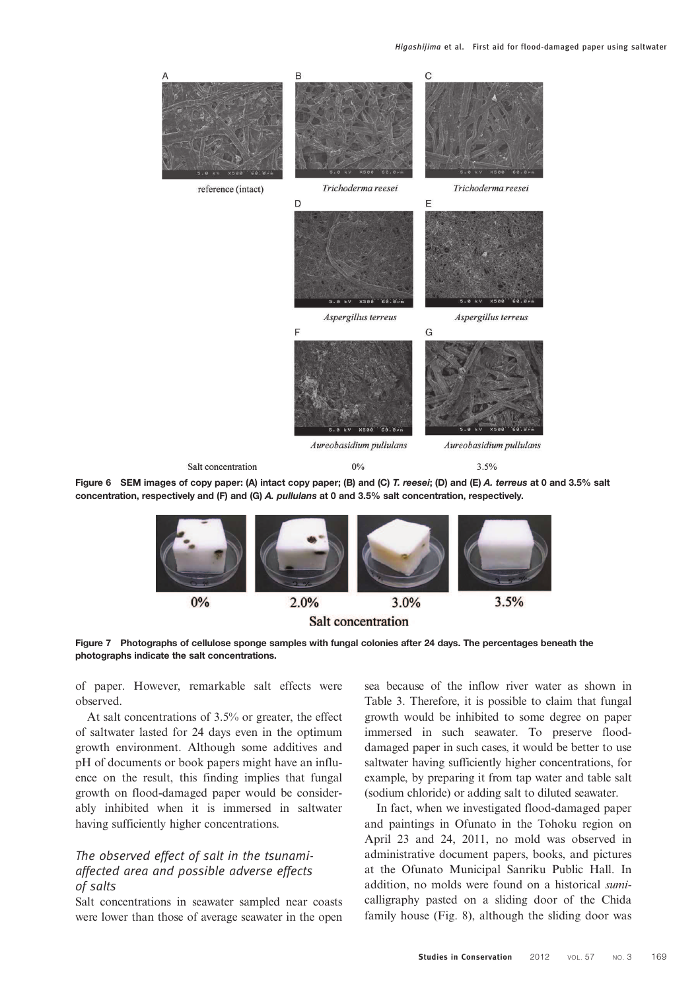

concentration, respectively and (F) and (G) A. pullulans at 0 and 3.5% salt concentration, respectively.



Figure 7 Photographs of cellulose sponge samples with fungal colonies after 24 days. The percentages beneath the photographs indicate the salt concentrations.

of paper. However, remarkable salt effects were observed.

At salt concentrations of 3.5% or greater, the effect of saltwater lasted for 24 days even in the optimum growth environment. Although some additives and pH of documents or book papers might have an influence on the result, this finding implies that fungal growth on flood-damaged paper would be considerably inhibited when it is immersed in saltwater having sufficiently higher concentrations.

# The observed effect of salt in the tsunamiaffected area and possible adverse effects of salts

Salt concentrations in seawater sampled near coasts were lower than those of average seawater in the open

sea because of the inflow river water as shown in Table 3. Therefore, it is possible to claim that fungal growth would be inhibited to some degree on paper immersed in such seawater. To preserve flooddamaged paper in such cases, it would be better to use saltwater having sufficiently higher concentrations, for example, by preparing it from tap water and table salt (sodium chloride) or adding salt to diluted seawater.

In fact, when we investigated flood-damaged paper and paintings in Ofunato in the Tohoku region on April 23 and 24, 2011, no mold was observed in administrative document papers, books, and pictures at the Ofunato Municipal Sanriku Public Hall. In addition, no molds were found on a historical *sumi*calligraphy pasted on a sliding door of the Chida family house (Fig. 8), although the sliding door was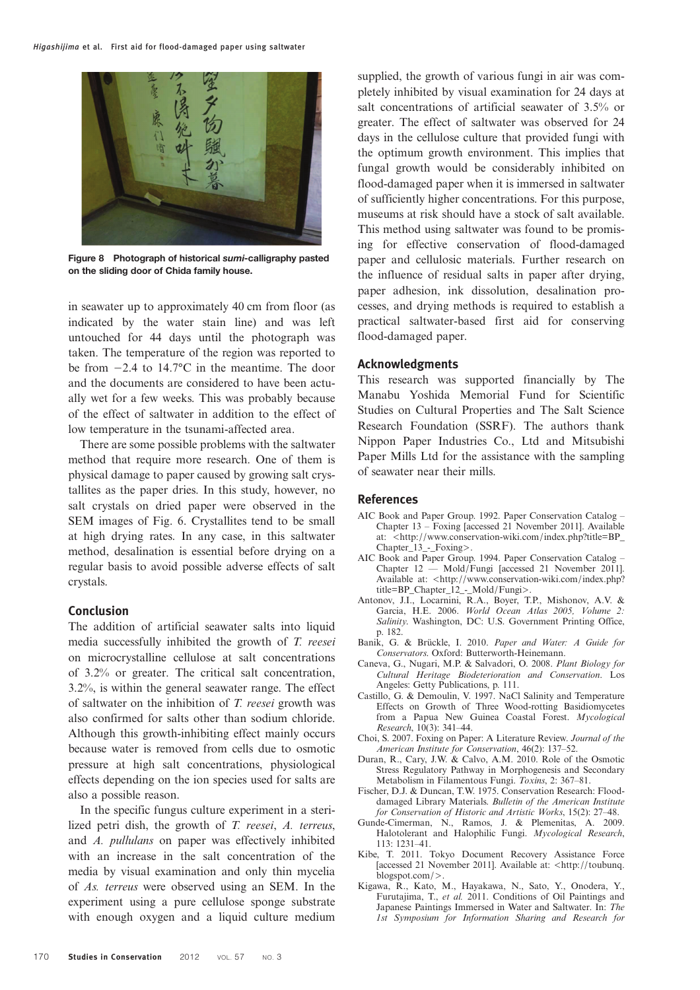

Figure 8 Photograph of historical sumi-calligraphy pasted on the sliding door of Chida family house.

in seawater up to approximately 40 cm from floor (as indicated by the water stain line) and was left untouched for 44 days until the photograph was taken. The temperature of the region was reported to be from −2.4 to 14.7°C in the meantime. The door and the documents are considered to have been actually wet for a few weeks. This was probably because of the effect of saltwater in addition to the effect of low temperature in the tsunami-affected area.

There are some possible problems with the saltwater method that require more research. One of them is physical damage to paper caused by growing salt crystallites as the paper dries. In this study, however, no salt crystals on dried paper were observed in the SEM images of Fig. 6. Crystallites tend to be small at high drying rates. In any case, in this saltwater method, desalination is essential before drying on a regular basis to avoid possible adverse effects of salt crystals.

## Conclusion

The addition of artificial seawater salts into liquid media successfully inhibited the growth of *T. reesei* on microcrystalline cellulose at salt concentrations of 3.2% or greater. The critical salt concentration, 3.2%, is within the general seawater range. The effect of saltwater on the inhibition of *T. reesei* growth was also confirmed for salts other than sodium chloride. Although this growth-inhibiting effect mainly occurs because water is removed from cells due to osmotic pressure at high salt concentrations, physiological effects depending on the ion species used for salts are also a possible reason.

In the specific fungus culture experiment in a sterilized petri dish, the growth of *T. reesei*, *A. terreus*, and *A. pullulans* on paper was effectively inhibited with an increase in the salt concentration of the media by visual examination and only thin mycelia of *As. terreus* were observed using an SEM. In the experiment using a pure cellulose sponge substrate with enough oxygen and a liquid culture medium

supplied, the growth of various fungi in air was completely inhibited by visual examination for 24 days at salt concentrations of artificial seawater of 3.5% or greater. The effect of saltwater was observed for 24 days in the cellulose culture that provided fungi with the optimum growth environment. This implies that fungal growth would be considerably inhibited on flood-damaged paper when it is immersed in saltwater of sufficiently higher concentrations. For this purpose, museums at risk should have a stock of salt available. This method using saltwater was found to be promising for effective conservation of flood-damaged paper and cellulosic materials. Further research on the influence of residual salts in paper after drying, paper adhesion, ink dissolution, desalination processes, and drying methods is required to establish a practical saltwater-based first aid for conserving flood-damaged paper.

#### Acknowledgments

This research was supported financially by The Manabu Yoshida Memorial Fund for Scientific Studies on Cultural Properties and The Salt Science Research Foundation (SSRF). The authors thank Nippon Paper Industries Co., Ltd and Mitsubishi Paper Mills Ltd for the assistance with the sampling of seawater near their mills.

#### References

- AIC Book and Paper Group. 1992. Paper Conservation Catalog Chapter 13 – Foxing [accessed 21 November 2011]. Available at: <http://www.conservation-wiki.com/index.php?title=BP\_ Chapter\_13\_-\_Foxing>.
- AIC Book and Paper Group. 1994. Paper Conservation Catalog Chapter 12 –– Mold/Fungi [accessed 21 November 2011]. Available at: <http://www.conservation-wiki.com/index.php? title=BP\_Chapter\_12\_-\_Mold/Fungi>.
- Antonov, J.I., Locarnini, R.A., Boyer, T.P., Mishonov, A.V. & Garcia, H.E. 2006. *World Ocean Atlas 2005, Volume 2: Salinity*. Washington, DC: U.S. Government Printing Office, p. 182.
- Banik, G. & Brückle, I. 2010. *Paper and Water: A Guide for Conservators*. Oxford: Butterworth-Heinemann.
- Caneva, G., Nugari, M.P. & Salvadori, O. 2008. *Plant Biology for Cultural Heritage Biodeterioration and Conservation*. Los Angeles: Getty Publications, p. 111.
- Castillo, G. & Demoulin, V. 1997. NaCl Salinity and Temperature Effects on Growth of Three Wood-rotting Basidiomycetes from a Papua New Guinea Coastal Forest. *Mycological Research*, 10(3): 341–44.
- Choi, S. 2007. Foxing on Paper: A Literature Review. *Journal of the American Institute for Conservation*, 46(2): 137–52.
- Duran, R., Cary, J.W. & Calvo, A.M. 2010. Role of the Osmotic Stress Regulatory Pathway in Morphogenesis and Secondary Metabolism in Filamentous Fungi. *Toxins*, 2: 367–81.
- Fischer, D.J. & Duncan, T.W. 1975. Conservation Research: Flooddamaged Library Materials. *Bulletin of the American Institute for Conservation of Historic and Artistic Works*, 15(2): 27–48.
- Gunde-Cimerman, N., Ramos, J. & Plemenitas, A. 2009. Halotolerant and Halophilic Fungi. *Mycological Research*, 113: 1231–41.
- Kibe, T. 2011. Tokyo Document Recovery Assistance Force [accessed 21 November 2011]. Available at: <http://toubunq. blogspot.com/>.
- Kigawa, R., Kato, M., Hayakawa, N., Sato, Y., Onodera, Y., Furutajima, T., *et al.* 2011. Conditions of Oil Paintings and Japanese Paintings Immersed in Water and Saltwater. In: *The 1st Symposium for Information Sharing and Research for*